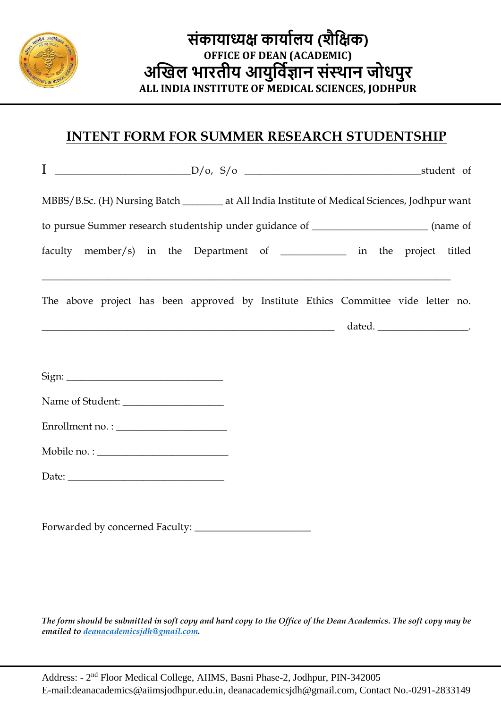

#### **INTENT FORM FOR SUMMER RESEARCH STUDENTSHIP**

֦

| MBBS/B.Sc. (H) Nursing Batch _______ at All India Institute of Medical Sciences, Jodhpur want |  |  |  |
|-----------------------------------------------------------------------------------------------|--|--|--|
| to pursue Summer research studentship under guidance of ______________________(name of        |  |  |  |
| faculty member/s) in the Department of ___________ in the project titled                      |  |  |  |
| The above project has been approved by Institute Ethics Committee vide letter no.             |  |  |  |
| Sign:                                                                                         |  |  |  |
|                                                                                               |  |  |  |
|                                                                                               |  |  |  |
|                                                                                               |  |  |  |
|                                                                                               |  |  |  |
| Forwarded by concerned Faculty:                                                               |  |  |  |

*The form should be submitted in soft copy and hard copy to the Office of the Dean Academics. The soft copy may be emailed to [deanacademicsjdh@gmail.com.](mailto:deanacademicsjdh@gmail.com)*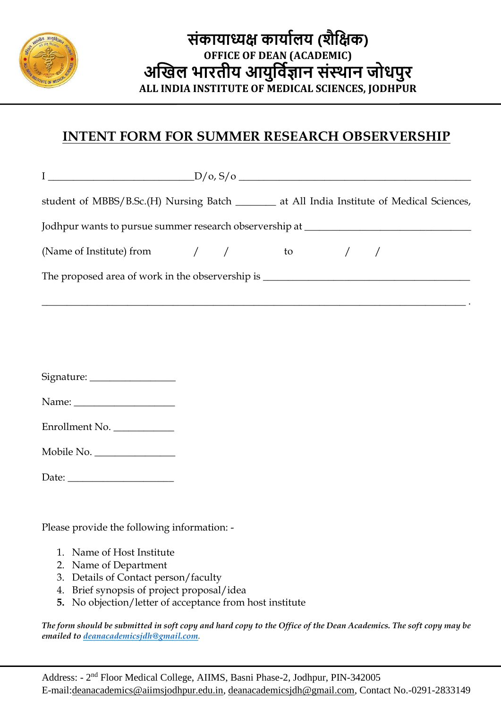

### **INTENT FORM FOR SUMMER RESEARCH OBSERVERSHIP**

֦

| $I \longrightarrow D/\mathrm{o}, S/\mathrm{o}$                                                                       |  |  |  |
|----------------------------------------------------------------------------------------------------------------------|--|--|--|
| student of MBBS/B.Sc.(H) Nursing Batch _______ at All India Institute of Medical Sciences,                           |  |  |  |
| Jodhpur wants to pursue summer research observership at ________________________                                     |  |  |  |
| (Name of Institute) from $/$ / to / /                                                                                |  |  |  |
|                                                                                                                      |  |  |  |
| <u> 2002 - Jan Barat de Barat de la contrada de la contrada de la contrada de la contrada de la contrada de la c</u> |  |  |  |
|                                                                                                                      |  |  |  |
| Signature: _________________                                                                                         |  |  |  |
|                                                                                                                      |  |  |  |
| Enrollment No.                                                                                                       |  |  |  |
| Mobile No.                                                                                                           |  |  |  |
| Date: $\_\_$                                                                                                         |  |  |  |

Please provide the following information: -

- 1. Name of Host Institute
- 2. Name of Department
- 3. Details of Contact person/faculty
- 4. Brief synopsis of project proposal/idea
- **5.** No objection/letter of acceptance from host institute

*The form should be submitted in soft copy and hard copy to the Office of the Dean Academics. The soft copy may be emailed to [deanacademicsjdh@gmail.com](mailto:deanacademicsjdh@gmail.com).*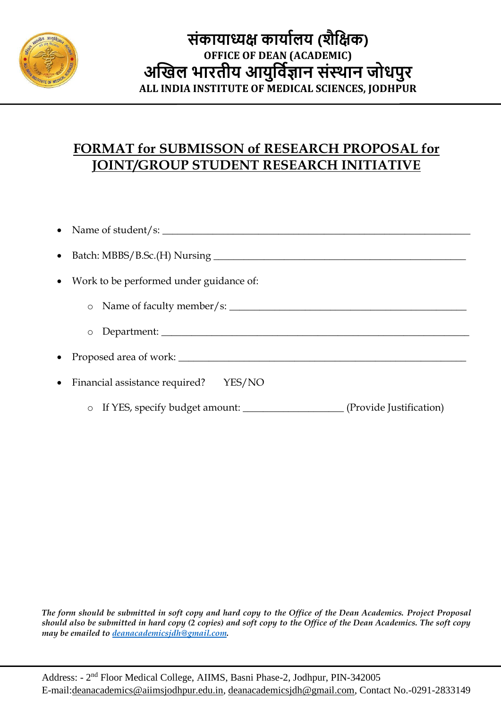

#### **FORMAT for SUBMISSON of RESEARCH PROPOSAL for JOINT/GROUP STUDENT RESEARCH INITIATIVE**

֦

| • Work to be performed under guidance of:                                                    |  |  |  |  |
|----------------------------------------------------------------------------------------------|--|--|--|--|
| $\circ$                                                                                      |  |  |  |  |
| $\circ$                                                                                      |  |  |  |  |
|                                                                                              |  |  |  |  |
| • Financial assistance required?<br>YES/NO                                                   |  |  |  |  |
| If YES, specify budget amount: ___________________________(Provide Justification)<br>$\circ$ |  |  |  |  |

*The form should be submitted in soft copy and hard copy to the Office of the Dean Academics. Project Proposal should also be submitted in hard copy (2 copies) and soft copy to the Office of the Dean Academics. The soft copy may be emailed to [deanacademicsjdh@gmail.com.](mailto:deanacademicsjdh@gmail.com)*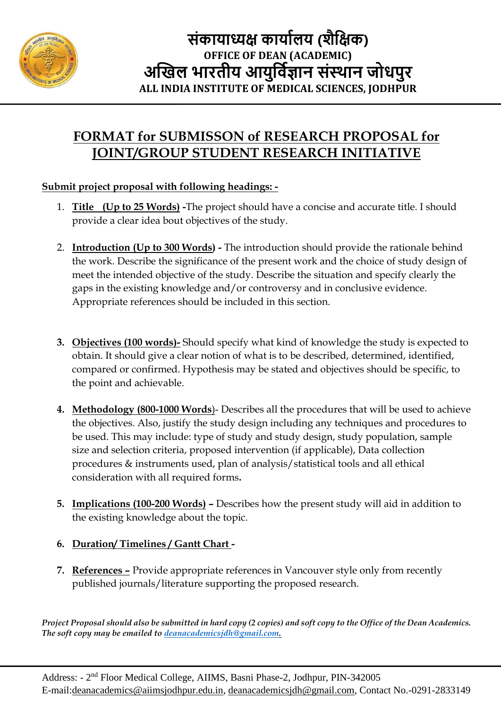

# **FORMAT for SUBMISSON of RESEARCH PROPOSAL for JOINT/GROUP STUDENT RESEARCH INITIATIVE**

#### **Submit project proposal with following headings: -**

֦

- 1. **Title (Up to 25 Words) -**The project should have a concise and accurate title. I should provide a clear idea bout objectives of the study.
- 2. **Introduction (Up to 300 Words) -** The introduction should provide the rationale behind the work. Describe the significance of the present work and the choice of study design of meet the intended objective of the study. Describe the situation and specify clearly the gaps in the existing knowledge and/or controversy and in conclusive evidence. Appropriate references should be included in this section.
- **3. Objectives (100 words)-** Should specify what kind of knowledge the study is expected to obtain. It should give a clear notion of what is to be described, determined, identified, compared or confirmed. Hypothesis may be stated and objectives should be specific, to the point and achievable.
- **4. Methodology (800-1000 Words**)- Describes all the procedures that will be used to achieve the objectives. Also, justify the study design including any techniques and procedures to be used. This may include: type of study and study design, study population, sample size and selection criteria, proposed intervention (if applicable), Data collection procedures & instruments used, plan of analysis/statistical tools and all ethical consideration with all required forms**.**
- **5. Implications (100-200 Words) –** Describes how the present study will aid in addition to the existing knowledge about the topic.
- **6. Duration/ Timelines / Gantt Chart -**
- **7. References –** Provide appropriate references in Vancouver style only from recently published journals/literature supporting the proposed research.

*Project Proposal should also be submitted in hard copy (2 copies) and soft copy to the Office of the Dean Academics. The soft copy may be emailed to [deanacademicsjdh@gmail.com.](mailto:deanacademicsjdh@gmail.com)*